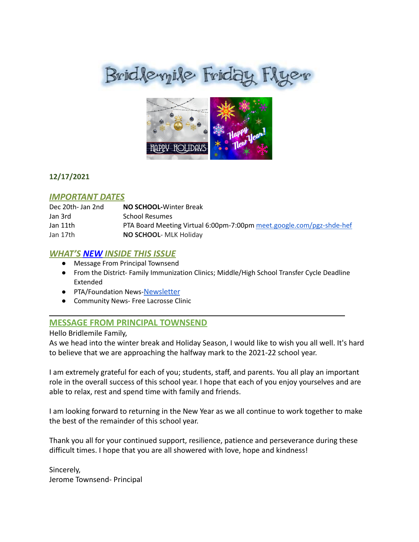# Bridlewile Friday Hyer



# **12/17/2021**

# *IMPORTANT DATES*

| Dec 20th-Jan 2nd | <b>NO SCHOOL-Winter Break</b>                                        |
|------------------|----------------------------------------------------------------------|
| Jan 3rd          | <b>School Resumes</b>                                                |
| Jan 11th         | PTA Board Meeting Virtual 6:00pm-7:00pm meet.google.com/pgz-shde-hef |
| Jan 17th         | <b>NO SCHOOL- MLK Holiday</b>                                        |

# *WHAT'S NEW INSIDE THIS ISSUE*

- Message From Principal Townsend
- From the District- Family Immunization Clinics; Middle/High School Transfer Cycle Deadline Extended
- PTA/Foundation News-[Newsletter](https://docs.google.com/document/u/1/d/e/2PACX-1vQlZCPHtKxqO7qpJwiwgoeaZ1ERHVLgg6z0JNYJMTulwn7xlOVY_X2I1ZV9nntsGHP57LEZ_uSufaFj/pub)
- Community News- Free Lacrosse Clinic

# **MESSAGE FROM PRINCIPAL TOWNSEND**

\_\_\_\_\_\_\_\_\_\_\_\_\_\_\_\_\_\_\_\_\_\_\_\_\_\_\_\_\_\_\_\_\_\_\_\_\_\_\_\_\_\_\_\_\_\_\_\_\_

Hello Bridlemile Family,

As we head into the winter break and Holiday Season, I would like to wish you all well. It's hard to believe that we are approaching the halfway mark to the 2021-22 school year.

I am extremely grateful for each of you; students, staff, and parents. You all play an important role in the overall success of this school year. I hope that each of you enjoy yourselves and are able to relax, rest and spend time with family and friends.

I am looking forward to returning in the New Year as we all continue to work together to make the best of the remainder of this school year.

Thank you all for your continued support, resilience, patience and perseverance during these difficult times. I hope that you are all showered with love, hope and kindness!

Sincerely, Jerome Townsend- Principal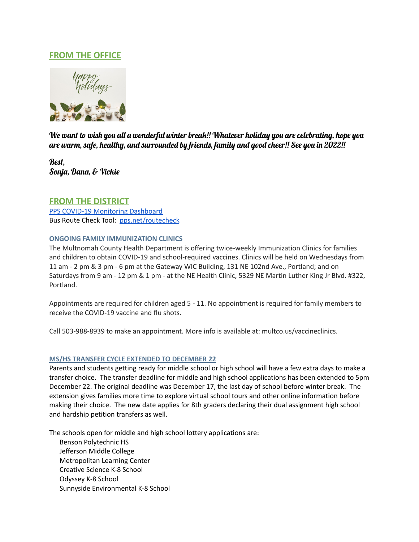# **FROM THE OFFICE**



We want to wish you all a wonderful winter break!! Whatever holiday you are celebrating, hope you are warm, safe, healthy, and surrounded by friends, family and good cheer!! See you in 2022!!

Best, Sonja, Dana, & Vickie

### **FROM THE DISTRICT** PPS COVID-19 [Monitoring](https://www.pps.net/COVID19Dashboard) Dashboard Bus Route Check Tool: [pps.net/routecheck](https://www.pps.net/routecheck)

#### **ONGOING FAMILY IMMUNIZATION CLINICS**

The Multnomah County Health Department is offering twice-weekly Immunization Clinics for families and children to obtain COVID-19 and school-required vaccines. Clinics will be held on Wednesdays from 11 am - 2 pm & 3 pm - 6 pm at the Gateway WIC Building, 131 NE 102nd Ave., Portland; and on Saturdays from 9 am - 12 pm & 1 pm - at the NE Health Clinic, 5329 NE Martin Luther King Jr Blvd. #322, Portland.

Appointments are required for children aged 5 - 11. No appointment is required for family members to receive the COVID-19 vaccine and flu shots.

Call 503-988-8939 to make an appointment. More info is available at: multco.us/vaccineclinics.

#### **MS/HS TRANSFER CYCLE EXTENDED TO DECEMBER 22**

Parents and students getting ready for middle school or high school will have a few extra days to make a transfer choice. The transfer deadline for middle and high school applications has been extended to 5pm December 22. The original deadline was December 17, the last day of school before winter break. The extension gives families more time to explore virtual school tours and other online information before making their choice. The new date applies for 8th graders declaring their dual assignment high school and hardship petition transfers as well.

The schools open for middle and high school lottery applications are:

Benson Polytechnic HS Jefferson Middle College Metropolitan Learning Center Creative Science K-8 School Odyssey K-8 School Sunnyside Environmental K-8 School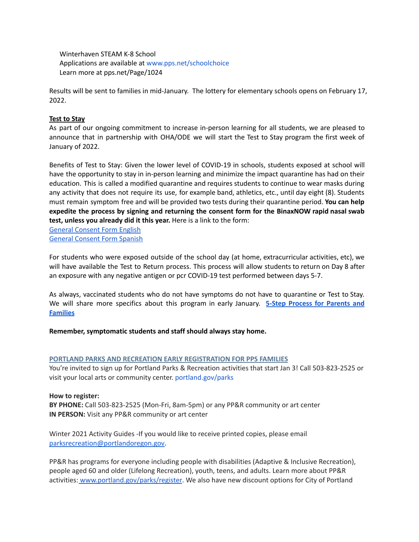Winterhaven STEAM K-8 School Applications are available at [www.pps.net/schoolchoice](http://www.pps.net/schoolchoice) Learn more at pps.net/Page/1024

Results will be sent to families in mid-January. The lottery for elementary schools opens on February 17, 2022.

#### **Test to Stay**

As part of our ongoing commitment to increase in-person learning for all students, we are pleased to announce that in partnership with OHA/ODE we will start the Test to Stay program the first week of January of 2022.

Benefits of Test to Stay: Given the lower level of COVID-19 in schools, students exposed at school will have the opportunity to stay in in-person learning and minimize the impact quarantine has had on their education. This is called a modified quarantine and requires students to continue to wear masks during any activity that does not require its use, for example band, athletics, etc., until day eight (8). Students must remain symptom free and will be provided two tests during their quarantine period. **You can help expedite the process by signing and returning the consent form for the BinaxNOW rapid nasal swab test, unless you already did it this year.** Here is a link to the form:

General [Consent](https://sharedsystems.dhsoha.state.or.us/DHSForms/Served/le3560e.pdf) Form English General [Consent](https://sharedsystems.dhsoha.state.or.us/DHSForms/Served/ls3560e.pdf) Form Spanish

For students who were exposed outside of the school day (at home, extracurricular activities, etc), we will have available the Test to Return process. This process will allow students to return on Day 8 after an exposure with any negative antigen or pcr COVID-19 test performed between days 5-7.

As always, vaccinated students who do not have symptoms do not have to quarantine or Test to Stay. We will share more specifics about this program in early January. **5-Step [Process](https://sharedsystems.dhsoha.state.or.us/DHSForms/Served/le1129280.pdf) for Parents and [Families](https://sharedsystems.dhsoha.state.or.us/DHSForms/Served/le1129280.pdf)**

**Remember, symptomatic students and staff should always stay home.**

#### **PORTLAND PARKS AND RECREATION EARLY REGISTRATION FOR PPS FAMILIES**

You're invited to sign up for Portland Parks & Recreation activities that start Jan 3! Call 503-823-2525 or visit your local arts or community center. [portland.gov/parks](http://www.portland.gov/parks)

#### **How to register:**

**BY PHONE:** Call 503-823-2525 (Mon-Fri, 8am-5pm) or any PP&R community or art center **IN PERSON:** Visit any PP&R community or art center

Winter 2021 Activity Guides -If you would like to receive printed copies, please email [parksrecreation@portlandoregon.gov.](mailto:parksrecreation@portlandoregon.gov)

PP&R has programs for everyone including people with disabilities (Adaptive & Inclusive Recreation), people aged 60 and older (Lifelong Recreation), youth, teens, and adults. Learn more about PP&R activities: [www.portland.gov/parks/register](http://www.portland.gov/parks/register). We also have new discount options for City of Portland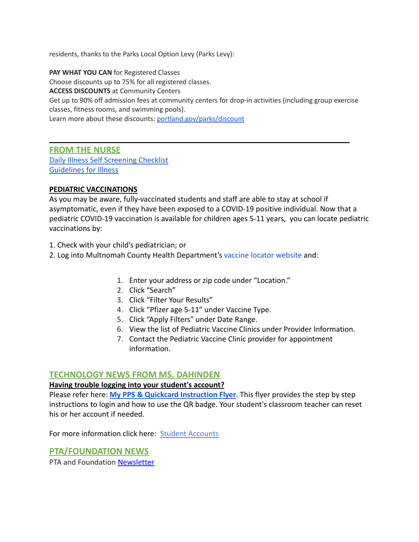residents, thanks to the Parks Local Option Levy (Parks Levy):

**PAY WHAT YOU CAN** for Registered Classes Choose discounts up to 75% for all registered classes. **ACCESS DISCOUNTS** at Community Centers Get up to 90% off admission fees at community centers for drop-in activities (including group exercise classes, fitness rooms, and swimming pools). Learn more about these discounts: [portland.gov/parks/discount](http://www.portland.gov/parks/discount)

**\_\_\_\_\_\_\_\_\_\_\_\_\_\_\_\_\_\_\_\_\_\_\_\_\_\_\_\_\_\_\_\_\_\_\_\_\_\_\_\_\_\_\_\_\_\_\_\_\_\_\_\_\_\_\_\_\_\_\_\_\_\_\_**

**FROM THE NURSE** [Daily Illness Self Screening Checklist](https://docs.google.com/document/d/1BCX4STQyHfQh4JkMdLKu0uKWYnGFCvn4wGVBq88ew8I/edit?usp=sharing) [Guidelines for Illness](https://dochub.com/dburling/8YZWO9NV8gOAj8zKzEAy30/guidelines-for-illness-and-school-pdf?dt=PUWvfPjC-jaRG37TLi8v)

### **PEDIATRIC VACCINATIONS**

As you may be aware, fully-vaccinated students and staff are able to stay at school if asymptomatic, even if they have been exposed to a COVID-19 positive individual. Now that a pediatric COVID-19 vaccination is available for children ages 5-11 years, you can locate pediatric vaccinations by:

1. Check with your child's pediatrician; or

- 2. Log into Multnomah County Health Department's vaccine [locator website](https://getvaccinated.oregon.gov/#/locator) and:
	- 1. Enter your address or zip code under "Location."
	- 2. Click "Search"
	- 3. Click "Filter Your Results"
	- 4. Click "Pfizer age 5-11" under Vaccine Type.
	- 5. Click "Apply Filters" under Date Range.
	- 6. View the list of Pediatric Vaccine Clinics under Provider Information.
	- 7. Contact the Pediatric Vaccine Clinic provider for appointment information.

### **TECHNOLOGY NEWS FROM MS. DAHINDEN**

### **Having trouble logging into your student's account?**

Please refer here: **[My PPS & Quickcard Instruction](https://docs.google.com/presentation/d/19yIcV1uxbkuSpc0Gd_p5t0V--EJk0WPrv9ZbscbQiQU/edit?usp=sharing) Flyer**. This flyer provides the step by step instructions to login and how to use the QR badge. Your student's classroom teacher can reset his or her account if needed.

For more information click here: [Student Accounts](https://www.pps.net/Page/1910)

# **PTA/FOUNDATION NEWS**

PTA and Foundation [Newsletter](https://docs.google.com/document/u/1/d/e/2PACX-1vQlZCPHtKxqO7qpJwiwgoeaZ1ERHVLgg6z0JNYJMTulwn7xlOVY_X2I1ZV9nntsGHP57LEZ_uSufaFj/pub)